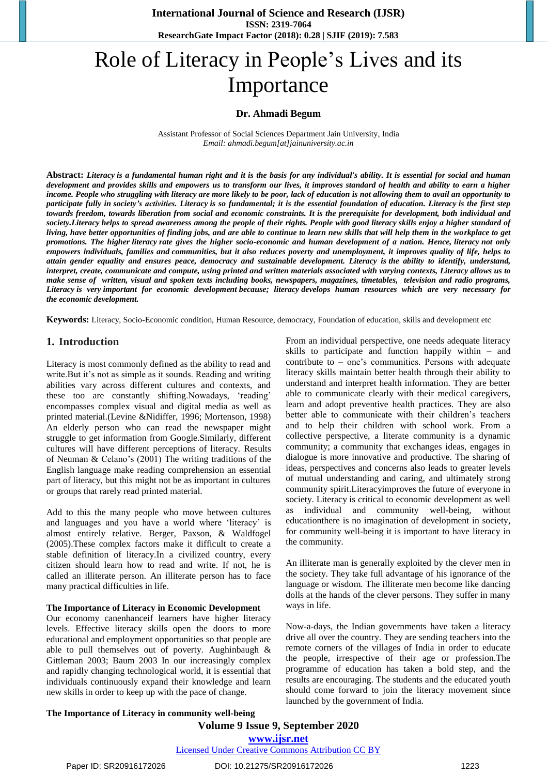**International Journal of Science and Research (IJSR) ISSN: 2319-7064 ResearchGate Impact Factor (2018): 0.28 | SJIF (2019): 7.583**

# Role of Literacy in People's Lives and its Importance

#### **Dr. Ahmadi Begum**

Assistant Professor of Social Sciences Department Jain University, India *Email[: ahmadi.begum\[at\]jainuniversity.ac.in](mailto:ahmadi.begum@jainuniversity.ac.in)*

**Abstract:** *Literacy is a fundamental human right and it is the basis for any individual's ability. It is essential for social and human development and provides skills and empowers us to transform our lives, it improves standard of health and ability to earn a higher income. People who struggling with literacy are more likely to be poor, lack of education is not allowing them to avail an opportunity to participate fully in society's activities. Literacy is so fundamental; it is the essential foundation of education. Literacy is the first step towards freedom, towards liberation from social and economic constraints. It is the prerequisite for development, both individual and society.Literacy helps to spread awareness among the people of their rights. People with good literacy skills enjoy a higher standard of living, have better opportunities of finding jobs, and are able to continue to learn new skills that will help them in the workplace to get promotions. The higher literacy rate gives the higher socio-economic and human development of a nation. Hence, literacy not only empowers individuals, families and communities, but it also reduces poverty and unemployment, it improves quality of life, helps to attain gender equality and ensures peace, democracy and sustainable development. Literacy is the ability to identify, understand, interpret, create, communicate and compute, using printed and written materials associated with varying contexts, Literacy allows us to make sense of written, visual and spoken texts including books, newspapers, magazines, timetables, television and radio programs, Literacy is very important for economic development because; literacy develops human resources which are very necessary for the economic development.* 

**Keywords:** Literacy, Socio-Economic condition, Human Resource, democracy, Foundation of education, skills and development etc

#### **1. Introduction**

Literacy is most commonly defined as the ability to read and write.But it's not as simple as it sounds. Reading and writing abilities vary across different cultures and contexts, and these too are constantly shifting.Nowadays, 'reading' encompasses complex visual and digital media as well as printed material.(Levine &Nidiffer, 1996; Mortenson, 1998) An elderly person who can read the newspaper might struggle to get information from Google.Similarly, different cultures will have different perceptions of literacy. Results of Neuman & Celano's (2001) The writing traditions of the English language make reading comprehension an essential part of literacy, but this might not be as important in cultures or groups that rarely read printed material.

Add to this the many people who move between cultures and languages and you have a world where 'literacy' is almost entirely relative. Berger, Paxson, & Waldfogel (2005).These complex factors make it difficult to create a stable definition of literacy.In a civilized country, every citizen should learn how to read and write. If not, he is called an illiterate person. An illiterate person has to face many practical difficulties in life.

#### **The Importance of Literacy in Economic Development**

Our economy canenhanceif learners have higher literacy levels. Effective literacy skills open the doors to more educational and employment opportunities so that people are able to pull themselves out of poverty. Aughinbaugh & Gittleman 2003; Baum 2003 In our increasingly complex and rapidly changing technological world, it is essential that individuals continuously expand their knowledge and learn new skills in order to keep up with the pace of change.

From an individual perspective, one needs adequate literacy skills to participate and function happily within – and contribute to – one's communities. Persons with adequate literacy skills maintain better health through their ability to understand and interpret health information. They are better able to communicate clearly with their medical caregivers, learn and adopt preventive health practices. They are also better able to communicate with their children's teachers and to help their children with school work. From a collective perspective, a literate community is a dynamic community; a community that exchanges ideas, engages in dialogue is more innovative and productive. The sharing of ideas, perspectives and concerns also leads to greater levels of mutual understanding and caring, and ultimately strong community spirit.Literacyimproves the future of everyone in society. Literacy is critical to economic development as well as individual and community well-being, without educationthere is no imagination of development in society, for community well-being it is important to have literacy in the community.

An illiterate man is generally exploited by the clever men in the society. They take full advantage of his ignorance of the language or wisdom. The illiterate men become like dancing dolls at the hands of the clever persons. They suffer in many ways in life.

Now-a-days, the Indian governments have taken a literacy drive all over the country. They are sending teachers into the remote corners of the villages of India in order to educate the people, irrespective of their age or profession.The programme of education has taken a bold step, and the results are encouraging. The students and the educated youth should come forward to join the literacy movement since launched by the government of India.

**The Importance of Literacy in community well-being**

## **Volume 9 Issue 9, September 2020 www.ijsr.net**

Licensed Under Creative Commons Attribution CC BY